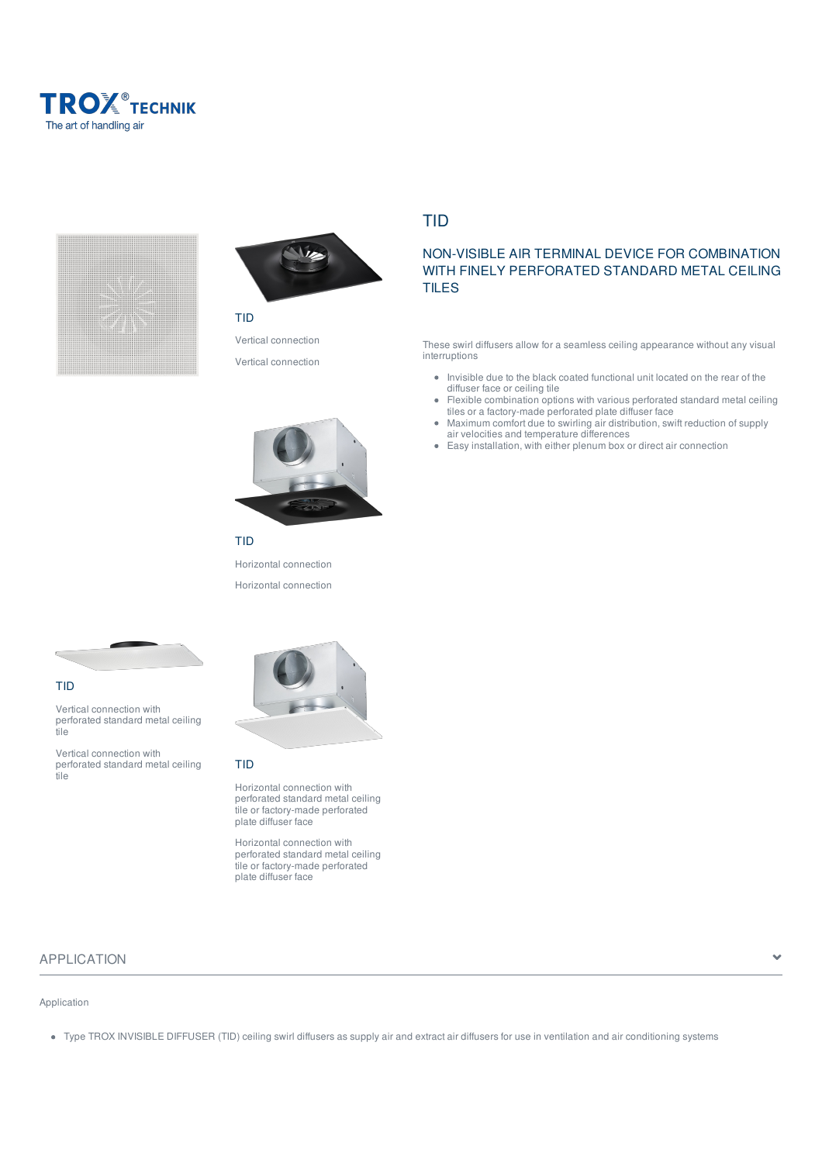





TID

Vertical connection Vertical connection



TID

Horizontal connection

Horizontal connection



Vertical connection with perforated standard metal ceiling tile

Vertical connection with perforated standard metal ceiling tile



### TID

Horizontal connection with perforated standard metal ceiling tile or factory-made perforated plate diffuser face

Horizontal connection with perforated standard metal ceiling tile or factory-made perforated plate diffuser face

# APPLICATION

### Application

Type TROX INVISIBLE DIFFUSER (TID) ceiling swirl diffusers as supply air and extract air diffusers for use in ventilation and air conditioning systems

# TID

# NON-VISIBLE AIR TERMINAL DEVICE FOR COMBINATION WITH FINELY PERFORATED STANDARD METAL CEILING TILES

These swirl diffusers allow for a seamless ceiling appearance without any visual interruptions

- Invisible due to the black coated functional unit located on the rear of the diffuser face or ceiling tile
- Flexible combination options with various perforated standard metal ceiling  $\bullet$ tiles or a factory-made perforated plate diffuser face
- Maximum comfort due to swirling air distribution, swift reduction of supply air velocities and temperature differences
- Easy installation, with either plenum box or direct air connection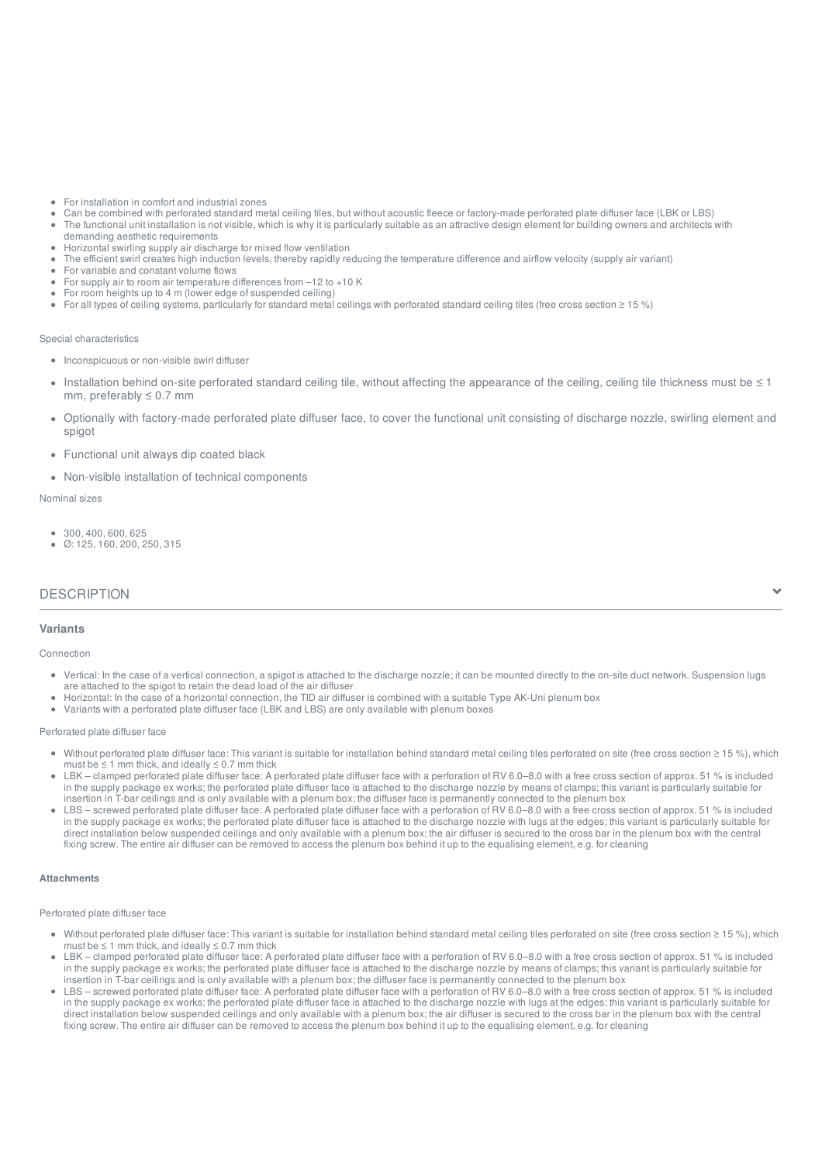- For installation in comfort and industrial zones
- Can be combined with perforated standard metal ceiling tiles, but without acoustic fleece or factory-made perforated plate diffuser face (LBK or LBS)
- The functional unit installation is not visible, which is why it is particularly suitable as an attractive design element for building owners and architects with demanding aesthetic requirements
- Horizontal swirling supply air discharge for mixed flow ventilation
- The efficient swirl creates high induction levels, thereby rapidly reducing the temperature difference and airflow velocity (supply air variant)
- For variable and constant volume flows
- For supply air to room air temperature differences from –12 to +10 K
- For room heights up to 4 m (lower edge of suspended ceiling)
- For all types of ceiling systems, particularly for standard metal ceilings with perforated standard ceiling tiles (free cross section ≥ 15 %)

#### Special characteristics

- Inconspicuous or non-visible swirl diffuser
- Installation behind on-site perforated standard ceiling tile, without affecting the appearance of the ceiling, ceiling tile thickness must be ≤ 1 mm, preferably  $\leq 0.7$  mm
- Optionally with factory-made perforated plate diffuser face, to cover the functional unit consisting of discharge nozzle, swirling element and spigot
- Functional unit always dip coated black
- Non-visible installation of technical components

#### Nominal sizes

- 300, 400, 600, 625
- Ø: 125, 160, 200, 250, 315

### **DESCRIPTION**

### **Variants**

#### Connection

- Vertical: In the case of a vertical connection, a spigot is attached to the discharge nozzle; it can be mounted directly to the on-site duct network. Suspension lugs are attached to the spigot to retain the dead load of the air diffuser
- Horizontal: In the case of a horizontal connection, the TID air diffuser is combined with a suitable Type AK-Uni plenum box
- Variants with a perforated plate diffuser face (LBK and LBS) are only available with plenum boxes

#### Perforated plate diffuser face

- Without perforated plate diffuser face: This variant is suitable for installation behind standard metal ceiling tiles perforated on site (free cross section ≥ 15 %), which must be  $\leq$  1 mm thick, and ideally  $\leq$  0.7 mm thick
- LBK clamped perforated plate diffuser face: A perforated plate diffuser face with a perforation of RV 6.0–8.0 with a free cross section of approx. 51 % is included in the supply package ex works; the perforated plate diffuser face is attached to the discharge nozzle by means of clamps; this variant is particularly suitable for insertion in T-bar ceilings and is only available with a plenum box; the diffuser face is permanently connected to the plenum box
- LBS screwed perforated plate diffuser face: A perforated plate diffuser face with a perforation of RV 6.0–8.0 with a free cross section of approx. 51 % is included in the supply package ex works; the perforated plate diffuser face is attached to the discharge nozzle with lugs at the edges; this variant is particularly suitable for direct installation below suspended ceilings and only available with a plenum box; the air diffuser is secured to the cross bar in the plenum box with the central fixing screw. The entire air diffuser can be removed to access the plenum box behind it up to the equalising element, e.g. for cleaning

#### **Attachments**

#### Perforated plate diffuser face

- Without perforated plate diffuser face: This variant is suitable for installation behind standard metal ceiling tiles perforated on site (free cross section ≥ 15 %), which must be  $\leq$  1 mm thick, and ideally  $\leq$  0.7 mm thick
- LBK clamped perforated plate diffuser face: A perforated plate diffuser face with a perforation of RV 6.0–8.0 with a free cross section of approx. 51 % is included in the supply package ex works; the perforated plate diffuser face is attached to the discharge nozzle by means of clamps; this variant is particularly suitable for insertion in T-bar ceilings and is only available with a plenum box; the diffuser face is permanently connected to the plenum box
- LBS screwed perforated plate diffuser face: A perforated plate diffuser face with a perforation of RV 6.0–8.0 with a free cross section of approx. 51 % is included in the supply package ex works; the perforated plate diffuser face is attached to the discharge nozzle with lugs at the edges; this variant is particularly suitable for direct installation below suspended ceilings and only available with a plenum box; the air diffuser is secured to the cross bar in the plenum box with the central fixing screw. The entire air diffuser can be removed to access the plenum box behind it up to the equalising element, e.g. for cleaning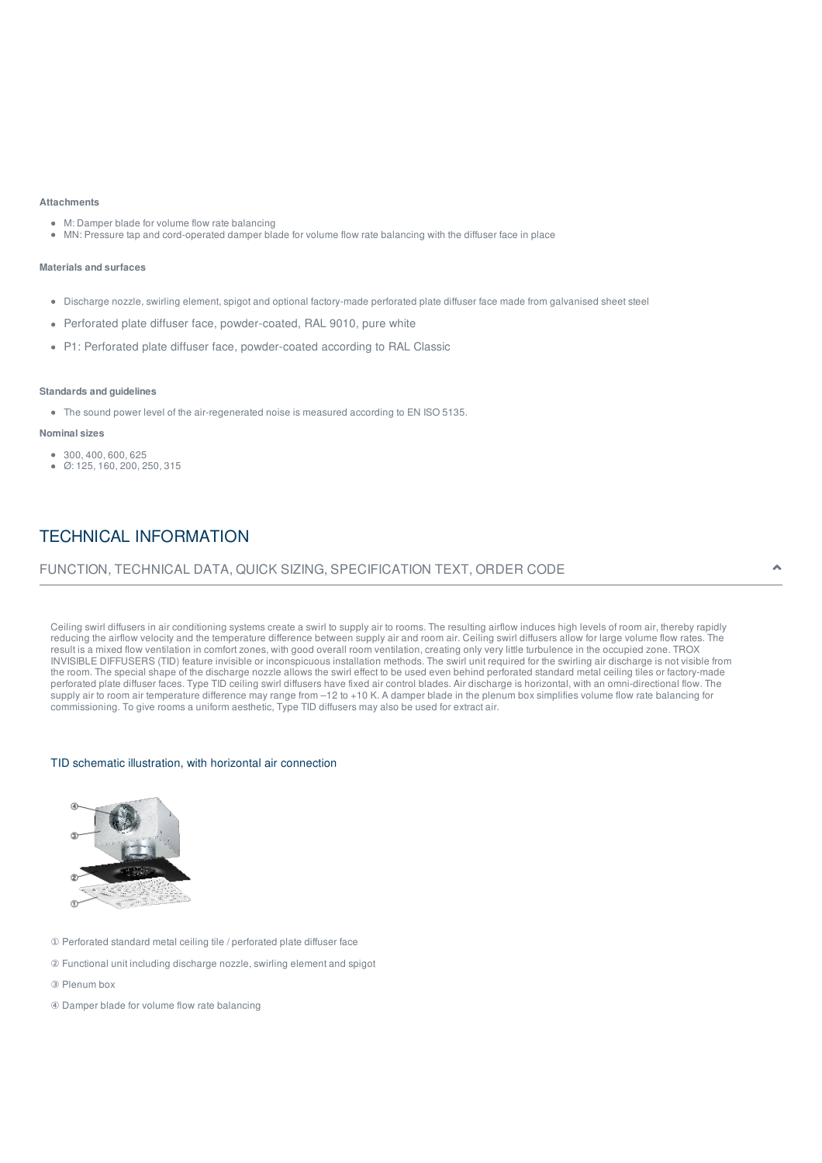#### **Attachments**

- M: Damper blade for volume flow rate balancing
- MN: Pressure tap and cord-operated damper blade for volume flow rate balancing with the diffuser face in place

#### **Materials and surfaces**

- Discharge nozzle, swirling element, spigot and optional factory-made perforated plate diffuser face made from galvanised sheet steel
- Perforated plate diffuser face, powder-coated, RAL 9010, pure white
- P1: Perforated plate diffuser face, powder-coated according to RAL Classic

### **Standards and guidelines**

The sound power level of the air-regenerated noise is measured according to EN ISO 5135.

#### **Nominal sizes**

- 300, 400, 600, 625
- $\bullet$   $\varnothing$ : 125, 160, 200, 250, 315

# TECHNICAL INFORMATION

### FUNCTION, TECHNICAL DATA, QUICK SIZING, SPECIFICATION TEXT, ORDER CODE

Ceiling swirl diffusers in air conditioning systems create a swirl to supply air to rooms. The resulting airflow induces high levels of room air, thereby rapidly reducing the airflow velocity and the temperature difference between supply air and room air. Ceiling swirl diffusers allow for large volume flow rates. The result is a mixed flow ventilation in comfort zones, with good overall room ventilation, creating only very little turbulence in the occupied zone. TROX INVISIBLE DIFFUSERS (TID) feature invisible or inconspicuous installation methods. The swirl unit required for the swirling air discharge is not visible from the room. The special shape of the discharge nozzle allows the swirl effect to be used even behind perforated standard metal ceiling tiles or factory-made perforated plate diffuser faces. Type TID ceiling swirl diffusers have fixed air control blades. Air discharge is horizontal, with an omni-directional flow. The supply air to room air temperature difference may range from –12 to +10 K. A damper blade in the plenum box simplifies volume flow rate balancing for commissioning. To give rooms a uniform aesthetic, Type TID diffusers may also be used for extract air.

### TID schematic illustration, with horizontal air connection



- ① Perforated standard metal ceiling tile / perforated plate diffuser face
- ② Functional unit including discharge nozzle, swirling element and spigot
- ③ Plenum box
- ④ Damper blade for volume flow rate balancing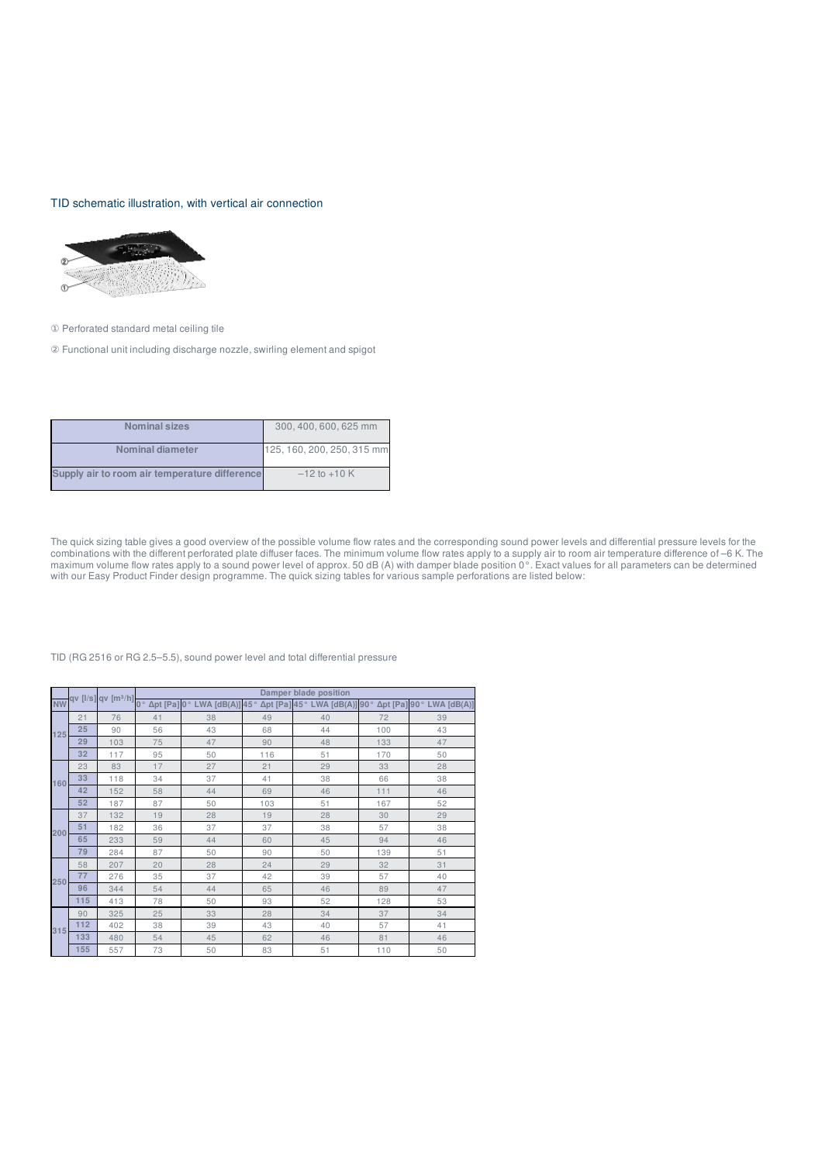### TID schematic illustration, with vertical air connection



#### Perforated standard metal ceiling tile

Functional unit including discharge nozzle, swirling element and spigot

| <b>Nominal sizes</b>                          | 300, 400, 600, 625 mm      |
|-----------------------------------------------|----------------------------|
| Nominal diameter                              | 125, 160, 200, 250, 315 mm |
| Supply air to room air temperature difference | $-12$ to $+10$ K           |

The quick sizing table gives a good overview of the possible volume flow rates and the corresponding sound power levels and differential pressure levels for the combinations with the different perforated plate diffuser faces. The minimum volume flow rates apply to a supply air to room air temperature difference of –6 K. The maximum volume flow rates apply to a sound power level of approx. 50 dB (A) with damper blade position 0°. Exact values for all parameters can be determined with our Easy Product Finder design programme. The quick sizing tables for various sample perforations are listed below:

|           |     |     |    |    |     | Damper blade position |     |                                                                                                                           |
|-----------|-----|-----|----|----|-----|-----------------------|-----|---------------------------------------------------------------------------------------------------------------------------|
| <b>NW</b> |     |     |    |    |     |                       |     | qv [l/s] qv [m <sup>3/h]</sup> 0 ° Δpt [Pa] 0 ° LWA [dB(A)] 45 ° Δpt [Pa] 45 ° LWA [dB(A)] 90 ° Δpt [Pa] 90 ° LWA [dB(A)] |
|           | 21  | 76  | 41 | 38 | 49  | 40                    | 72  | 39                                                                                                                        |
| 125       | 25  | 90  | 56 | 43 | 68  | 44                    | 100 | 43                                                                                                                        |
|           | 29  | 103 | 75 | 47 | 90  | 48                    | 133 | 47                                                                                                                        |
|           | 32  | 117 | 95 | 50 | 116 | 51                    | 170 | 50                                                                                                                        |
|           | 23  | 83  | 17 | 27 | 21  | 29                    | 33  | 28                                                                                                                        |
| 160       | 33  | 118 | 34 | 37 | 41  | 38                    | 66  | 38                                                                                                                        |
|           | 42  | 152 | 58 | 44 | 69  | 46                    | 111 | 46                                                                                                                        |
|           | 52  | 187 | 87 | 50 | 103 | 51                    | 167 | 52                                                                                                                        |
|           | 37  | 132 | 19 | 28 | 19  | 28                    | 30  | 29                                                                                                                        |
| 200       | 51  | 182 | 36 | 37 | 37  | 38                    | 57  | 38                                                                                                                        |
|           | 65  | 233 | 59 | 44 | 60  | 45                    | 94  | 46                                                                                                                        |
|           | 79  | 284 | 87 | 50 | 90  | 50                    | 139 | 51                                                                                                                        |
|           | 58  | 207 | 20 | 28 | 24  | 29                    | 32  | 31                                                                                                                        |
| 250       | 77  | 276 | 35 | 37 | 42  | 39                    | 57  | 40                                                                                                                        |
|           | 96  | 344 | 54 | 44 | 65  | 46                    | 89  | 47                                                                                                                        |
|           | 115 | 413 | 78 | 50 | 93  | 52                    | 128 | 53                                                                                                                        |
|           | 90  | 325 | 25 | 33 | 28  | 34                    | 37  | 34                                                                                                                        |
| 315       | 112 | 402 | 38 | 39 | 43  | 40                    | 57  | 41                                                                                                                        |
|           | 133 | 480 | 54 | 45 | 62  | 46                    | 81  | 46                                                                                                                        |
|           | 155 | 557 | 73 | 50 | 83  | 51                    | 110 | 50                                                                                                                        |

TID (RG 2516 or RG 2.5–5.5), sound power level and total differential pressure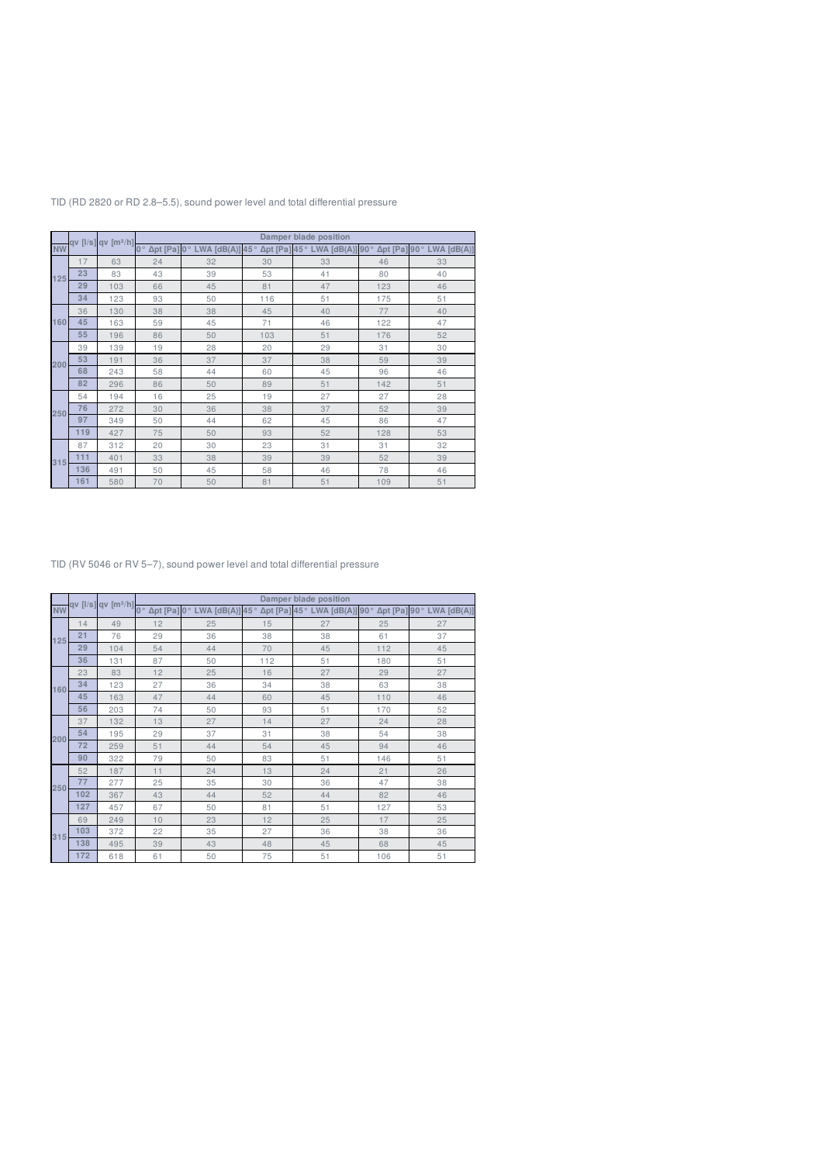|           |     |     |    |    |     | Damper blade position |     |                                                                                                               |
|-----------|-----|-----|----|----|-----|-----------------------|-----|---------------------------------------------------------------------------------------------------------------|
| <b>NW</b> |     |     |    |    |     |                       |     | qv [l/s] qv [m3/h] <mark>o。Δpt [Pa]0。LWA [dB(A)]</mark> 45。Δpt [Pa] 45。LWA [dB(A)] 90。Δpt [Pa] 90。LWA [dB(A)] |
|           | 17  | 63  | 24 | 32 | 30  | 33                    | 46  | 33                                                                                                            |
| 125       | 23  | 83  | 43 | 39 | 53  | 41                    | 80  | 40                                                                                                            |
|           | 29  | 103 | 66 | 45 | 81  | 47                    | 123 | 46                                                                                                            |
|           | 34  | 123 | 93 | 50 | 116 | 51                    | 175 | 51                                                                                                            |
|           | 36  | 130 | 38 | 38 | 45  | 40                    | 77  | 40                                                                                                            |
| 160       | 45  | 163 | 59 | 45 | 71  | 46                    | 122 | 47                                                                                                            |
|           | 55  | 196 | 86 | 50 | 103 | 51                    | 176 | 52                                                                                                            |
|           | 39  | 139 | 19 | 28 | 20  | 29                    | 31  | 30                                                                                                            |
| 200       | 53  | 191 | 36 | 37 | 37  | 38                    | 59  | 39                                                                                                            |
|           | 68  | 243 | 58 | 44 | 60  | 45                    | 96  | 46                                                                                                            |
|           | 82  | 296 | 86 | 50 | 89  | 51                    | 142 | 51                                                                                                            |
|           | 54  | 194 | 16 | 25 | 19  | 27                    | 27  | 28                                                                                                            |
| 250       | 76  | 272 | 30 | 36 | 38  | 37                    | 52  | 39                                                                                                            |
|           | 97  | 349 | 50 | 44 | 62  | 45                    | 86  | 47                                                                                                            |
|           | 119 | 427 | 75 | 50 | 93  | 52                    | 128 | 53                                                                                                            |
|           | 87  | 312 | 20 | 30 | 23  | 31                    | 31  | 32                                                                                                            |
| 315       | 111 | 401 | 33 | 38 | 39  | 39                    | 52  | 39                                                                                                            |
|           | 136 | 491 | 50 | 45 | 58  | 46                    | 78  | 46                                                                                                            |
|           | 161 | 580 | 70 | 50 | 81  | 51                    | 109 | 51                                                                                                            |

TID (RD 2820 or RD 2.8–5.5), sound power level and total differential pressure

TID (RV 5046 or RV 5–7), sound power level and total differential pressure

|           | qv [l/s] qv [m <sup>3/h]</sup> 0 ° Δpt [Pa] 0 ° LWA [dB(A)] 45 ° Δpt [Pa] 45 ° LWA [dB(A)] 90 ° Δpt [Pa] 90 ° LWA [dB(A)] |     |    |    |     | Damper blade position |     |    |
|-----------|---------------------------------------------------------------------------------------------------------------------------|-----|----|----|-----|-----------------------|-----|----|
| <b>NW</b> |                                                                                                                           |     |    |    |     |                       |     |    |
|           | 14                                                                                                                        | 49  | 12 | 25 | 15  | 27                    | 25  | 27 |
| 125       | 21                                                                                                                        | 76  | 29 | 36 | 38  | 38                    | 61  | 37 |
|           | 29                                                                                                                        | 104 | 54 | 44 | 70  | 45                    | 112 | 45 |
|           | 36                                                                                                                        | 131 | 87 | 50 | 112 | 51                    | 180 | 51 |
|           | 23                                                                                                                        | 83  | 12 | 25 | 16  | 27                    | 29  | 27 |
| 160       | 34                                                                                                                        | 123 | 27 | 36 | 34  | 38                    | 63  | 38 |
|           | 45                                                                                                                        | 163 | 47 | 44 | 60  | 45                    | 110 | 46 |
|           | 56                                                                                                                        | 203 | 74 | 50 | 93  | 51                    | 170 | 52 |
|           | 37                                                                                                                        | 132 | 13 | 27 | 14  | 27                    | 24  | 28 |
| 200       | 54                                                                                                                        | 195 | 29 | 37 | 31  | 38                    | 54  | 38 |
|           | 72                                                                                                                        | 259 | 51 | 44 | 54  | 45                    | 94  | 46 |
|           | 90                                                                                                                        | 322 | 79 | 50 | 83  | 51                    | 146 | 51 |
|           | 52                                                                                                                        | 187 | 11 | 24 | 13  | 24                    | 21  | 26 |
| 250       | 77                                                                                                                        | 277 | 25 | 35 | 30  | 36                    | 47  | 38 |
|           | 102                                                                                                                       | 367 | 43 | 44 | 52  | 44                    | 82  | 46 |
|           | 127                                                                                                                       | 457 | 67 | 50 | 81  | 51                    | 127 | 53 |
|           | 69                                                                                                                        | 249 | 10 | 23 | 12  | 25                    | 17  | 25 |
| 315       | 103                                                                                                                       | 372 | 22 | 35 | 27  | 36                    | 38  | 36 |
|           | 138                                                                                                                       | 495 | 39 | 43 | 48  | 45                    | 68  | 45 |
|           | 172                                                                                                                       | 618 | 61 | 50 | 75  | 51                    | 106 | 51 |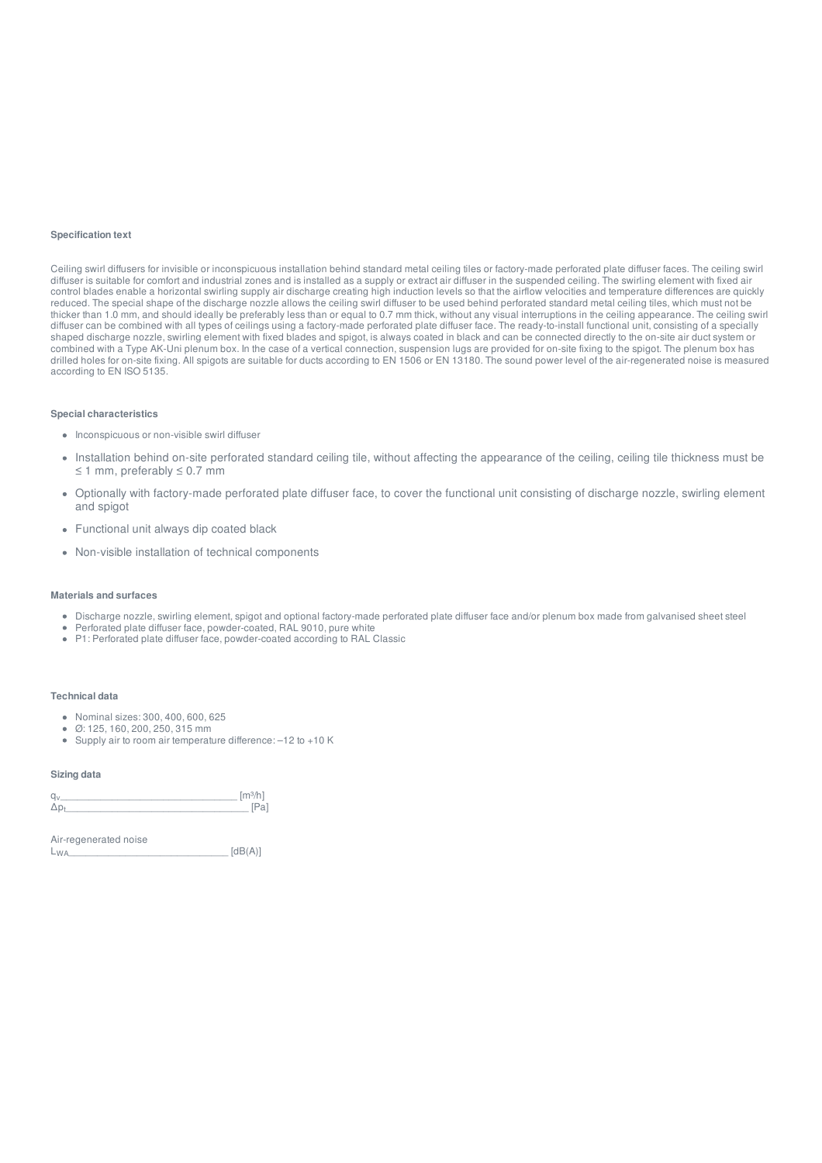#### **Specification text**

Ceiling swirl diffusers for invisible or inconspicuous installation behind standard metal ceiling tiles or factory-made perforated plate diffuser faces. The ceiling swirl diffuser is suitable for comfort and industrial zones and is installed as a supply or extract air diffuser in the suspended ceiling. The swirling element with fixed air control blades enable a horizontal swirling supply air discharge creating high induction levels so that the airflow velocities and temperature differences are quickly reduced. The special shape of the discharge nozzle allows the ceiling swirl diffuser to be used behind perforated standard metal ceiling tiles, which must not be thicker than 1.0 mm, and should ideally be preferably less than or equal to 0.7 mm thick, without any visual interruptions in the ceiling appearance. The ceiling swirl diffuser can be combined with all types of ceilings using a factory-made perforated plate diffuser face. The ready-to-install functional unit, consisting of a specially shaped discharge nozzle, swirling element with fixed blades and spigot, is always coated in black and can be connected directly to the on-site air duct system or combined with a Type AK-Uni plenum box. In the case of a vertical connection, suspension lugs are provided for on-site fixing to the spigot. The plenum box has drilled holes for on-site fixing. All spigots are suitable for ducts according to EN 1506 or EN 13180. The sound power level of the air-regenerated noise is measured according to EN ISO 5135.

#### **Special characteristics**

- Inconspicuous or non-visible swirl diffuser
- Installation behind on-site perforated standard ceiling tile, without affecting the appearance of the ceiling, ceiling tile thickness must be ≤ 1 mm, preferably ≤ 0.7 mm
- Optionally with factory-made perforated plate diffuser face, to cover the functional unit consisting of discharge nozzle, swirling element  $\alpha$ and spigot
- Functional unit always dip coated black
- Non-visible installation of technical components

#### **Materials and surfaces**

- Discharge nozzle, swirling element, spigot and optional factory-made perforated plate diffuser face and/or plenum box made from galvanised sheet steel
- Perforated plate diffuser face, powder-coated, RAL 9010, pure white
- P1: Perforated plate diffuser face, powder-coated according to RAL Classic

#### **Technical data**

- Nominal sizes: 300, 400, 600, 625
- Ø: 125, 160, 200, 250, 315 mm
- Supply air to room air temperature difference: –12 to +10 K

#### **Sizing data**

| u | $\Gamma_{\text{max}}$ 3 /kg <sup>+</sup><br><br>٠ |
|---|---------------------------------------------------|
|   | r.                                                |

Air-regenerated noise  $[dB(A)]$ L<sub>WA</sub>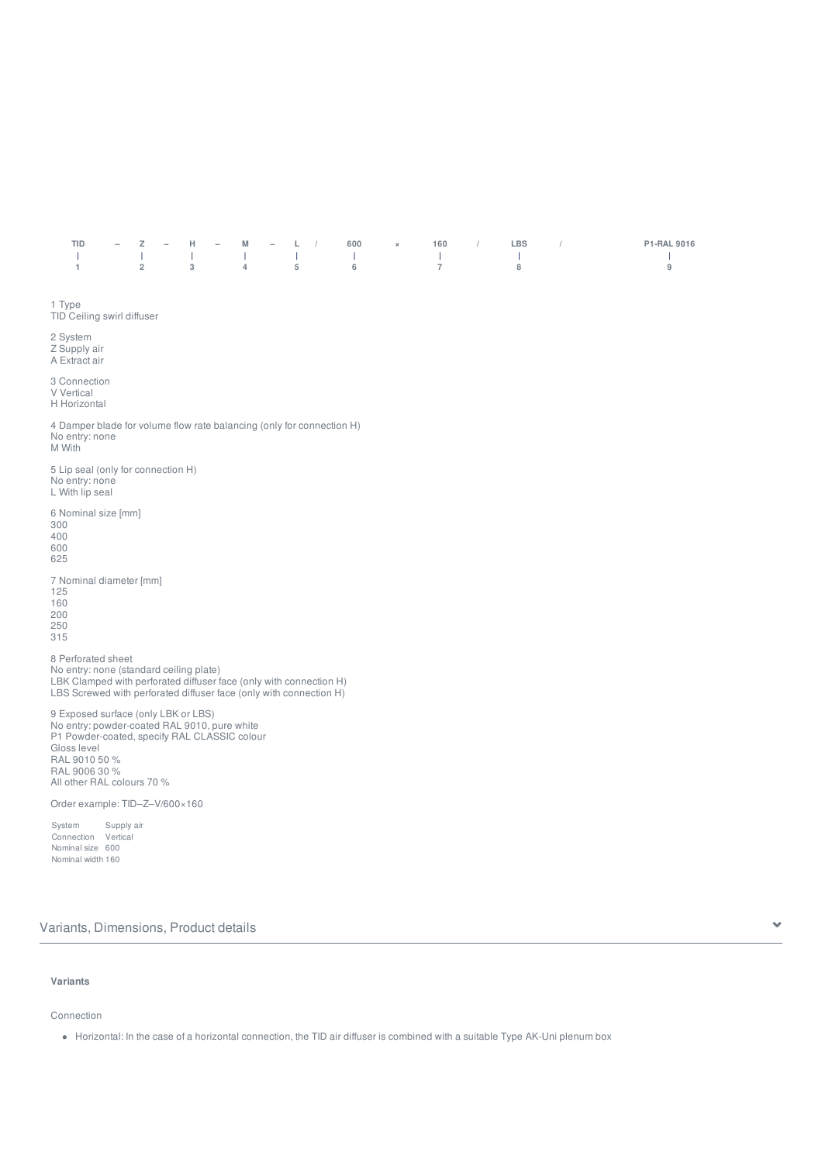|  |  |  |  |  | TID – Z – H – M – L / 600 × 160 / LBS /                                                                                                                                                                                           |  |  | P1-RAL 9016                     |
|--|--|--|--|--|-----------------------------------------------------------------------------------------------------------------------------------------------------------------------------------------------------------------------------------|--|--|---------------------------------|
|  |  |  |  |  | $\frac{1}{2}$ . The contract of the contract of the contract of the contract of the contract of the contract of the contract of the contract of the contract of the contract of the contract of the contract of the contract of t |  |  | the contract of the contract of |
|  |  |  |  |  | $1 \qquad 2 \qquad 3 \qquad 4 \qquad 5 \qquad 6 \qquad 7 \qquad 8$                                                                                                                                                                |  |  |                                 |

1 Type TID Ceiling swirl diffuser

2 System Z Supply air A Extract air

3 Connection

V Vertical

H Horizontal

4 Damper blade for volume flow rate balancing (only for connection H) No entry: none M With

5 Lip seal (only for connection H) No entry: none L With lip seal

6 Nominal size [mm] 300 400 600 625

7 Nominal diameter [mm] 125

160

200

250 315

8 Perforated sheet No entry: none (standard ceiling plate) LBK Clamped with perforated diffuser face (only with connection H) LBS Screwed with perforated diffuser face (only with connection H)

9 Exposed surface (only LBK or LBS) No entry: powder-coated RAL 9010, pure white P1 Powder-coated, specify RAL CLASSIC colour Gloss level RAL 9010 50 % RAL 9006 30 % All other RAL colours 70 %

Order example: TID–Z–V/600×160

System Supply air Connection Vertical Nominal size 600 Nominal width 160

Variants, Dimensions, Product details

### **Variants**

Connection

Horizontal: In the case of a horizontal connection, the TID air diffuser is combined with a suitable Type AK-Uni plenum box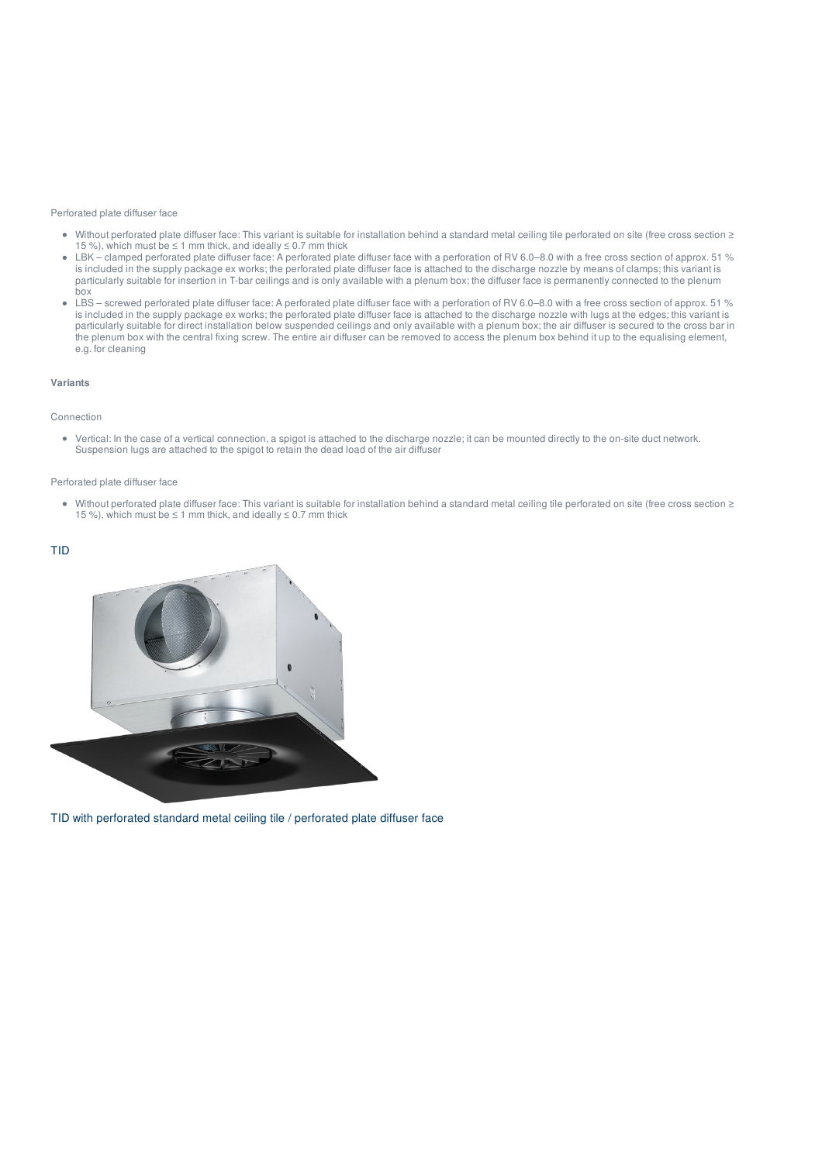#### Perforated plate diffuser face

- Without perforated plate diffuser face: This variant is suitable for installation behind a standard metal ceiling tile perforated on site (free cross section ≥ 15 %), which must be  $\leq$  1 mm thick, and ideally  $\leq$  0.7 mm thick
- $\bullet$ LBK – clamped perforated plate diffuser face: A perforated plate diffuser face with a perforation of RV 6.0–8.0 with a free cross section of approx. 51 % is included in the supply package ex works; the perforated plate diffuser face is attached to the discharge nozzle by means of clamps; this variant is particularly suitable for insertion in T-bar ceilings and is only available with a plenum box; the diffuser face is permanently connected to the plenum box
- LBS screwed perforated plate diffuser face: A perforated plate diffuser face with a perforation of RV 6.0–8.0 with a free cross section of approx. 51 % is included in the supply package ex works; the perforated plate diffuser face is attached to the discharge nozzle with lugs at the edges; this variant is particularly suitable for direct installation below suspended ceilings and only available with a plenum box; the air diffuser is secured to the cross bar in the plenum box with the central fixing screw. The entire air diffuser can be removed to access the plenum box behind it up to the equalising element, e.g. for cleaning

#### **Variants**

#### Connection

Vertical: In the case of a vertical connection, a spigot is attached to the discharge nozzle; it can be mounted directly to the on-site duct network. Suspension lugs are attached to the spigot to retain the dead load of the air diffuser

#### Perforated plate diffuser face

Without perforated plate diffuser face: This variant is suitable for installation behind a standard metal ceiling tile perforated on site (free cross section ≥ 15 %), which must be  $\leq$  1 mm thick, and ideally  $\leq$  0.7 mm thick

### TID



TID with perforated standard metal ceiling tile / perforated plate diffuser face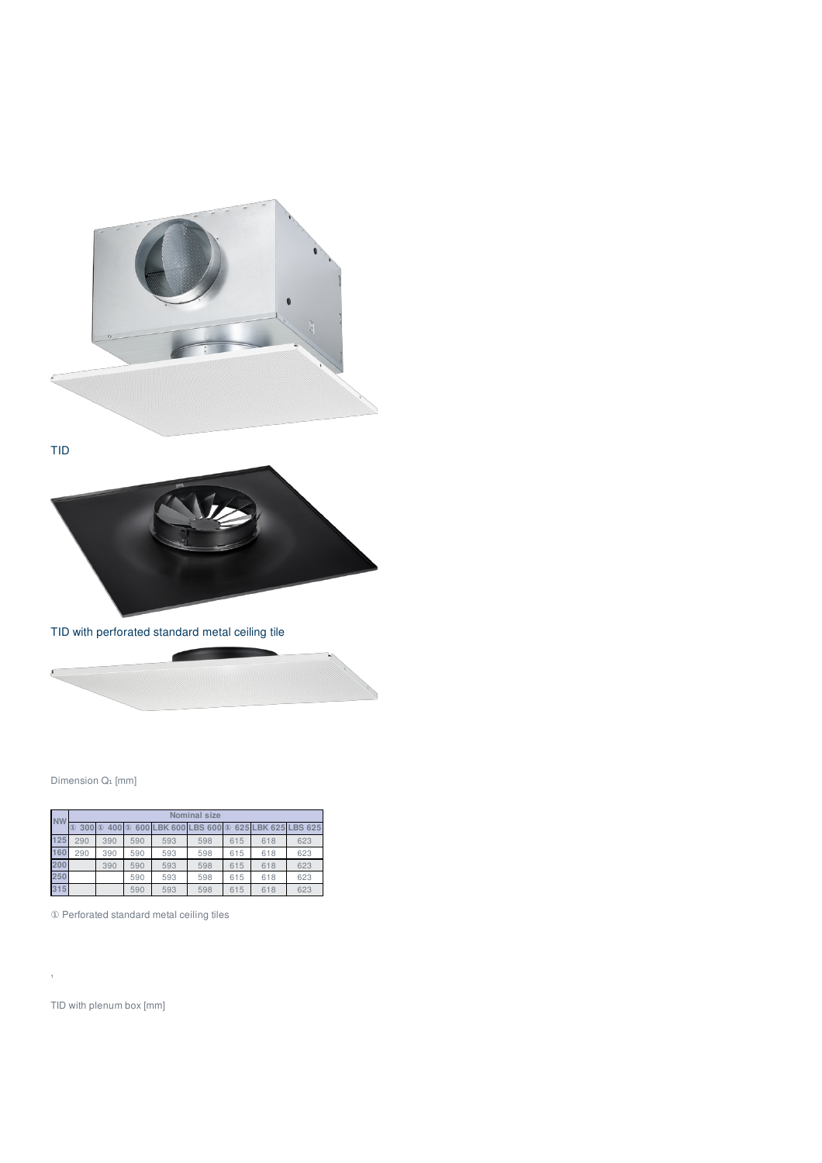

# Dimension Q<sub>1</sub> [mm]

| <b>NW</b> |          |     |     |               | Nominal size   |               |     |                |
|-----------|----------|-----|-----|---------------|----------------|---------------|-----|----------------|
|           | D<br>300 | 400 | 600 | <b>BK 600</b> | <b>LBS 600</b> | 625<br>$\Box$ |     | BK 625 LBS 625 |
| 125       | 290      | 390 | 590 | 593           | 598            | 615           | 618 | 623            |
| 160       | 290      | 390 | 590 | 593           | 598            | 615           | 618 | 623            |
| 200       |          | 390 | 590 | 593           | 598            | 615           | 618 | 623            |
| 250       |          |     | 590 | 593           | 598            | 615           | 618 | 623            |
| 315       |          |     | 590 | 593           | 598            | 615           | 618 | 623            |

① Perforated standard metal ceiling tiles

,

TID with plenum box [mm]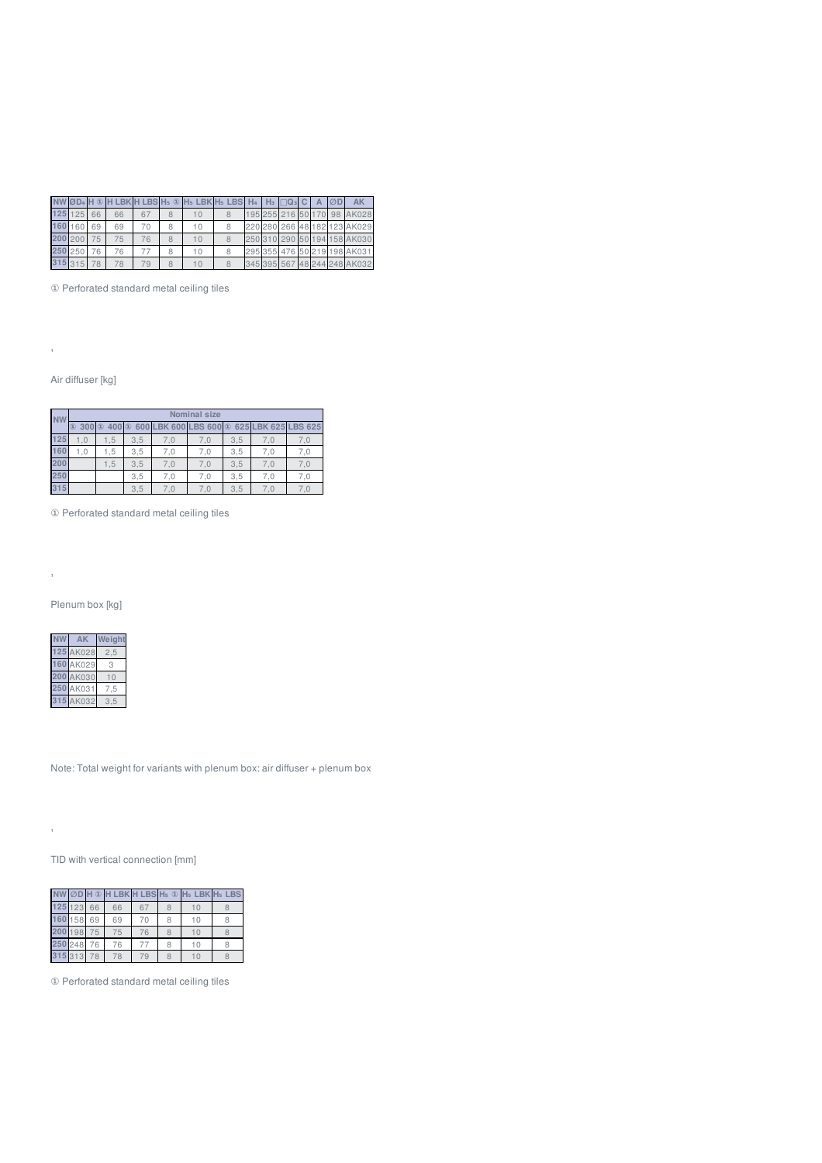|         |             |    |     |    |    | NW ØD4 H ® H LBK H LBS H5 ® H5 LBK H5 LBS H4 |  | $H_3$ $\Box$ Q <sub>3</sub> C | A |                              |
|---------|-------------|----|-----|----|----|----------------------------------------------|--|-------------------------------|---|------------------------------|
|         | $125$ $125$ | 66 | 66  |    |    |                                              |  |                               |   | 195 255 216 50 170 98 AK028  |
| 160     | 160         | 69 | 69  |    | 10 |                                              |  |                               |   | 220 280 266 48 182 123 AK029 |
| 200 200 |             | 75 | 75. | 76 | 10 |                                              |  |                               |   | 250 310 290 50 194 158 AK030 |
|         | 250 250     |    | 76  |    | 10 |                                              |  |                               |   | 295 355 476 50 219 198 AK031 |
|         | 315 315     |    | 78  | 79 |    |                                              |  |                               |   | 345 395 567 48 244 248 AK032 |

Perforated standard metal ceiling tiles

Air diffuser [kg]

,

| <b>NW</b> |                     | <b>Nominal size</b> |     |                             |     |     |                     |     |  |  |  |  |  |
|-----------|---------------------|---------------------|-----|-----------------------------|-----|-----|---------------------|-----|--|--|--|--|--|
|           | $\mathbf{r}$<br>300 |                     |     | 400 3 600 LBK 600 LBS 600 3 |     |     | 625 LBK 625 LBS 625 |     |  |  |  |  |  |
| 125       | 1.0                 | 1.5                 | 3.5 | 7.0                         | 7.0 | 3.5 | 7.0                 | 7.0 |  |  |  |  |  |
| 160       | .0                  | 1,5                 | 3,5 | 7.0                         | 7.C | 3,5 | '.C                 |     |  |  |  |  |  |
| 200       |                     | 1,5                 | 3,5 | 7.0                         | 7.0 | 3,5 | 7.0                 |     |  |  |  |  |  |
| 250       |                     |                     | 3.5 | 7.0                         | 7.0 | 3.5 | 7.0                 |     |  |  |  |  |  |
| 315       |                     |                     | 3.5 | 7.0                         |     | 3,5 | '.O                 |     |  |  |  |  |  |

Perforated standard metal ceiling tiles

,

,

Plenum box [kg]



Note: Total weight for variants with plenum box: air diffuser + plenum box

TID with vertical connection [mm]

|         | ØD      | $^{\circledR}$ | <b>H LBK</b> | LBS <sub>H<sub>5</sub></sub> | $^{\circledR}$ | .BK I<br>H <sub>5</sub><br>L | H5<br>LBS |
|---------|---------|----------------|--------------|------------------------------|----------------|------------------------------|-----------|
|         | 125 123 | 66             | 66           | 67                           |                | 1 C                          |           |
| 160 158 |         | 69             | 69           | 70                           | 8              | 1 C                          |           |
|         | 198     | 75             | 75           | 76                           | 8              | 10                           |           |
| 250 248 |         | 76             | 76           | 77                           | 8              | 10                           |           |
| 315 313 |         | 78             | 78           | 79                           | 8              | 1 C                          |           |

Perforated standard metal ceiling tiles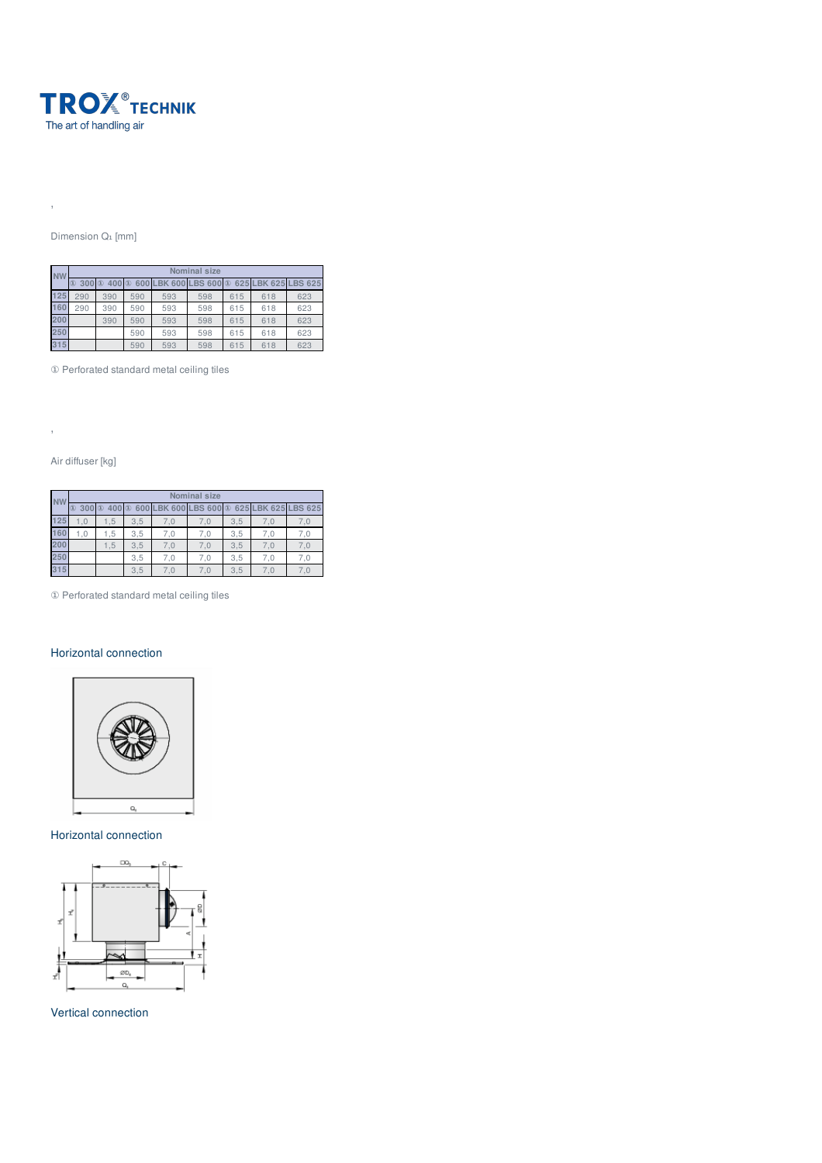

,

# Dimension Q<sub>1</sub> [mm]

| <b>NW</b> |                     | Nominal size |     |                       |     |     |                     |     |  |  |  |  |  |
|-----------|---------------------|--------------|-----|-----------------------|-----|-----|---------------------|-----|--|--|--|--|--|
|           | 300<br>$\mathbf{r}$ | 400(1)       |     | 600 LBK 600 LBS 600 3 |     |     | 625 LBK 625 LBS 625 |     |  |  |  |  |  |
| 125       | 290                 | 390          | 590 | 593                   | 598 | 615 | 618                 | 623 |  |  |  |  |  |
| 160       | 290                 | 390          | 590 | 593                   | 598 | 615 | 618                 | 623 |  |  |  |  |  |
| 200       |                     | 390          | 590 | 593                   | 598 | 615 | 618                 | 623 |  |  |  |  |  |
| 250       |                     |              | 590 | 593                   | 598 | 615 | 618                 | 623 |  |  |  |  |  |
| 315       |                     |              | 590 | 593                   | 598 | 615 | 618                 | 623 |  |  |  |  |  |

① Perforated standard metal ceiling tiles

,

Air diffuser [kg]

| NW  |                      | <b>Nominal size</b> |     |                                           |     |     |     |  |  |  |  |  |  |
|-----|----------------------|---------------------|-----|-------------------------------------------|-----|-----|-----|--|--|--|--|--|--|
|     | $\circled{1}$<br>300 | $400$ $\circ$       |     | 600 LBK 600 LBS 600 3 625 LBK 625 LBS 625 |     |     |     |  |  |  |  |  |  |
| 125 |                      | 1,5                 | 3.5 |                                           | 7.0 | 3,5 |     |  |  |  |  |  |  |
| 160 |                      | 1,5                 | 3.5 | 7.0                                       | 7.0 | 3.5 | .C  |  |  |  |  |  |  |
|     |                      | 1,5                 | 3.5 |                                           | 7.0 | 3.5 |     |  |  |  |  |  |  |
| 250 |                      |                     | 3.5 | 7.C                                       | 70  | 3.5 |     |  |  |  |  |  |  |
| 315 |                      |                     | 3,5 | 7.0                                       | 7.0 | 3,5 | '.C |  |  |  |  |  |  |

① Perforated standard metal ceiling tiles

# Horizontal connection



### Horizontal connection



Vertical connection